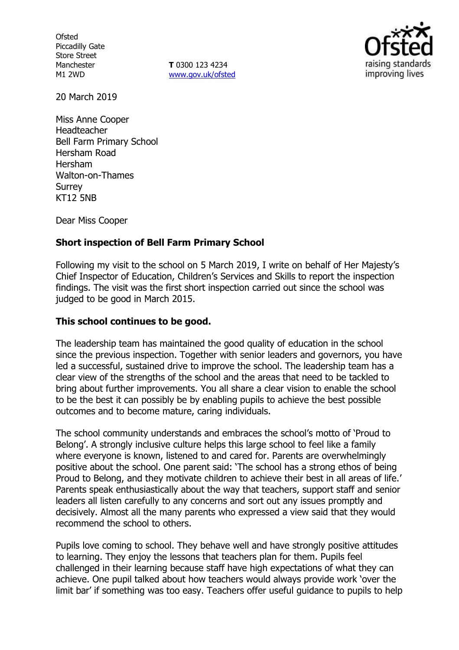**Ofsted** Piccadilly Gate Store Street Manchester M1 2WD

**T** 0300 123 4234 www.gov.uk/ofsted



20 March 2019

Miss Anne Cooper Headteacher Bell Farm Primary School Hersham Road Hersham Walton-on-Thames Surrey KT12 5NB

Dear Miss Cooper

## **Short inspection of Bell Farm Primary School**

Following my visit to the school on 5 March 2019, I write on behalf of Her Majesty's Chief Inspector of Education, Children's Services and Skills to report the inspection findings. The visit was the first short inspection carried out since the school was judged to be good in March 2015.

## **This school continues to be good.**

The leadership team has maintained the good quality of education in the school since the previous inspection. Together with senior leaders and governors, you have led a successful, sustained drive to improve the school. The leadership team has a clear view of the strengths of the school and the areas that need to be tackled to bring about further improvements. You all share a clear vision to enable the school to be the best it can possibly be by enabling pupils to achieve the best possible outcomes and to become mature, caring individuals.

The school community understands and embraces the school's motto of 'Proud to Belong'. A strongly inclusive culture helps this large school to feel like a family where everyone is known, listened to and cared for. Parents are overwhelmingly positive about the school. One parent said: 'The school has a strong ethos of being Proud to Belong, and they motivate children to achieve their best in all areas of life.' Parents speak enthusiastically about the way that teachers, support staff and senior leaders all listen carefully to any concerns and sort out any issues promptly and decisively. Almost all the many parents who expressed a view said that they would recommend the school to others.

Pupils love coming to school. They behave well and have strongly positive attitudes to learning. They enjoy the lessons that teachers plan for them. Pupils feel challenged in their learning because staff have high expectations of what they can achieve. One pupil talked about how teachers would always provide work 'over the limit bar' if something was too easy. Teachers offer useful guidance to pupils to help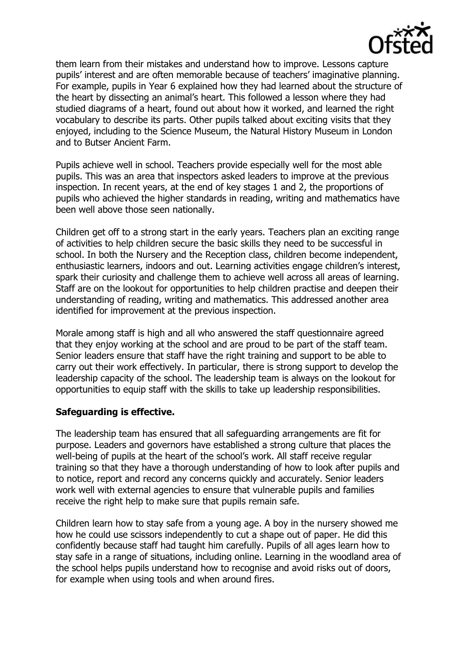

them learn from their mistakes and understand how to improve. Lessons capture pupils' interest and are often memorable because of teachers' imaginative planning. For example, pupils in Year 6 explained how they had learned about the structure of the heart by dissecting an animal's heart. This followed a lesson where they had studied diagrams of a heart, found out about how it worked, and learned the right vocabulary to describe its parts. Other pupils talked about exciting visits that they enjoyed, including to the Science Museum, the Natural History Museum in London and to Butser Ancient Farm.

Pupils achieve well in school. Teachers provide especially well for the most able pupils. This was an area that inspectors asked leaders to improve at the previous inspection. In recent years, at the end of key stages 1 and 2, the proportions of pupils who achieved the higher standards in reading, writing and mathematics have been well above those seen nationally.

Children get off to a strong start in the early years. Teachers plan an exciting range of activities to help children secure the basic skills they need to be successful in school. In both the Nursery and the Reception class, children become independent, enthusiastic learners, indoors and out. Learning activities engage children's interest, spark their curiosity and challenge them to achieve well across all areas of learning. Staff are on the lookout for opportunities to help children practise and deepen their understanding of reading, writing and mathematics. This addressed another area identified for improvement at the previous inspection.

Morale among staff is high and all who answered the staff questionnaire agreed that they enjoy working at the school and are proud to be part of the staff team. Senior leaders ensure that staff have the right training and support to be able to carry out their work effectively. In particular, there is strong support to develop the leadership capacity of the school. The leadership team is always on the lookout for opportunities to equip staff with the skills to take up leadership responsibilities.

#### **Safeguarding is effective.**

The leadership team has ensured that all safeguarding arrangements are fit for purpose. Leaders and governors have established a strong culture that places the well-being of pupils at the heart of the school's work. All staff receive regular training so that they have a thorough understanding of how to look after pupils and to notice, report and record any concerns quickly and accurately. Senior leaders work well with external agencies to ensure that vulnerable pupils and families receive the right help to make sure that pupils remain safe.

Children learn how to stay safe from a young age. A boy in the nursery showed me how he could use scissors independently to cut a shape out of paper. He did this confidently because staff had taught him carefully. Pupils of all ages learn how to stay safe in a range of situations, including online. Learning in the woodland area of the school helps pupils understand how to recognise and avoid risks out of doors, for example when using tools and when around fires.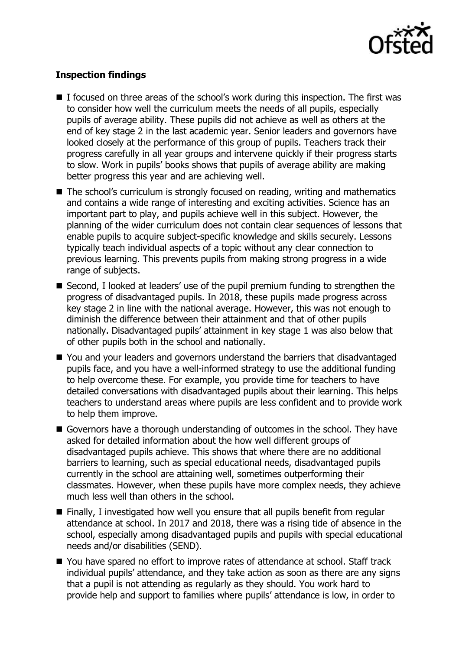

# **Inspection findings**

- $\blacksquare$  I focused on three areas of the school's work during this inspection. The first was to consider how well the curriculum meets the needs of all pupils, especially pupils of average ability. These pupils did not achieve as well as others at the end of key stage 2 in the last academic year. Senior leaders and governors have looked closely at the performance of this group of pupils. Teachers track their progress carefully in all year groups and intervene quickly if their progress starts to slow. Work in pupils' books shows that pupils of average ability are making better progress this year and are achieving well.
- The school's curriculum is strongly focused on reading, writing and mathematics and contains a wide range of interesting and exciting activities. Science has an important part to play, and pupils achieve well in this subject. However, the planning of the wider curriculum does not contain clear sequences of lessons that enable pupils to acquire subject-specific knowledge and skills securely. Lessons typically teach individual aspects of a topic without any clear connection to previous learning. This prevents pupils from making strong progress in a wide range of subjects.
- Second, I looked at leaders' use of the pupil premium funding to strengthen the progress of disadvantaged pupils. In 2018, these pupils made progress across key stage 2 in line with the national average. However, this was not enough to diminish the difference between their attainment and that of other pupils nationally. Disadvantaged pupils' attainment in key stage 1 was also below that of other pupils both in the school and nationally.
- You and your leaders and governors understand the barriers that disadvantaged pupils face, and you have a well-informed strategy to use the additional funding to help overcome these. For example, you provide time for teachers to have detailed conversations with disadvantaged pupils about their learning. This helps teachers to understand areas where pupils are less confident and to provide work to help them improve.
- Governors have a thorough understanding of outcomes in the school. They have asked for detailed information about the how well different groups of disadvantaged pupils achieve. This shows that where there are no additional barriers to learning, such as special educational needs, disadvantaged pupils currently in the school are attaining well, sometimes outperforming their classmates. However, when these pupils have more complex needs, they achieve much less well than others in the school.
- $\blacksquare$  Finally, I investigated how well you ensure that all pupils benefit from regular attendance at school. In 2017 and 2018, there was a rising tide of absence in the school, especially among disadvantaged pupils and pupils with special educational needs and/or disabilities (SEND).
- You have spared no effort to improve rates of attendance at school. Staff track individual pupils' attendance, and they take action as soon as there are any signs that a pupil is not attending as regularly as they should. You work hard to provide help and support to families where pupils' attendance is low, in order to